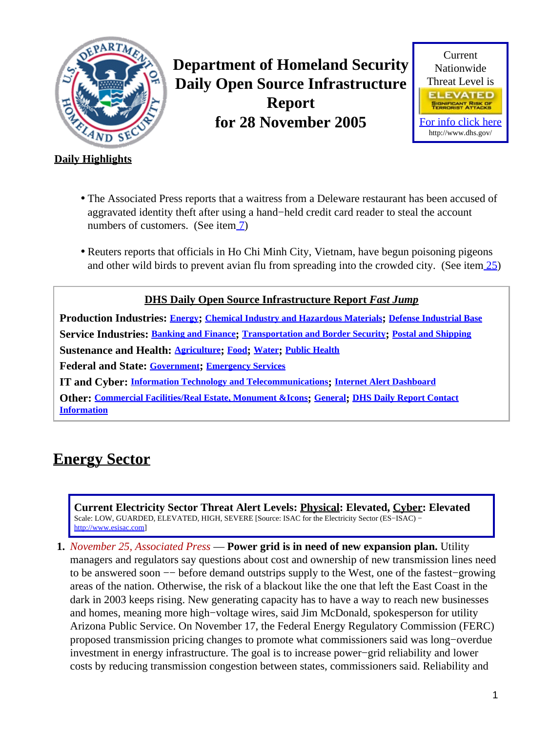<span id="page-0-1"></span>

**Department of Homeland Security Daily Open Source Infrastructure Report for 28 November 2005**



### **Daily Highlights**

- The Associated Press reports that a waitress from a Deleware restaurant has been accused of aggravated identity theft after using a hand−held credit card reader to steal the account numbers of customers. (See item [7](#page-2-0))
- Reuters reports that officials in Ho Chi Minh City, Vietnam, have begun poisoning pigeons and other wild birds to prevent avian flu from spreading into the crowded city. (See ite[m 25](#page-9-0))

**DHS Daily Open Source Infrastructure Report** *Fast Jump* **Production Industries: [Energy](#page-0-0); [Chemical Industry and Hazardous Materials](#page-1-0); [Defense Industrial Base](#page-1-1) Service Industries: [Banking and Finance](#page-2-1); [Transportation and Border Security](#page-3-0); [Postal and Shipping](#page-5-0) Sustenance and Health: [Agriculture](#page-5-1); [Food](#page-6-0); [Water](#page-6-1); [Public Health](#page-7-0) Federal and State: [Government](#page-9-1); [Emergency Services](#page-10-0) IT and Cyber: [Information Technology and Telecommunications](#page-10-1); [Internet Alert Dashboard](#page-11-0) Other: [Commercial Facilities/Real Estate, Monument &Icons](#page-12-0); [General](#page-12-1); [DHS Daily Report Contact](#page-12-2) [Information](#page-12-2)**

# <span id="page-0-0"></span>**Energy Sector**

**Current Electricity Sector Threat Alert Levels: Physical: Elevated, Cyber: Elevated** Scale: LOW, GUARDED, ELEVATED, HIGH, SEVERE [Source: ISAC for the Electricity Sector (ES−ISAC) − [http://www.esisac.com](http://esisac.com)]

**1.** *November 25, Associated Press* — **Power grid is in need of new expansion plan.** Utility managers and regulators say questions about cost and ownership of new transmission lines need to be answered soon −− before demand outstrips supply to the West, one of the fastest−growing areas of the nation. Otherwise, the risk of a blackout like the one that left the East Coast in the dark in 2003 keeps rising. New generating capacity has to have a way to reach new businesses and homes, meaning more high−voltage wires, said Jim McDonald, spokesperson for utility Arizona Public Service. On November 17, the Federal Energy Regulatory Commission (FERC) proposed transmission pricing changes to promote what commissioners said was long−overdue investment in energy infrastructure. The goal is to increase power−grid reliability and lower costs by reducing transmission congestion between states, commissioners said. Reliability and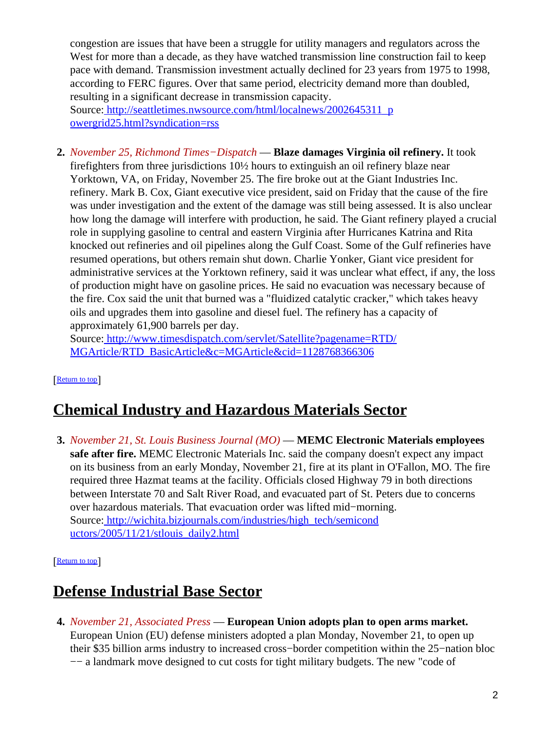congestion are issues that have been a struggle for utility managers and regulators across the West for more than a decade, as they have watched transmission line construction fail to keep pace with demand. Transmission investment actually declined for 23 years from 1975 to 1998, according to FERC figures. Over that same period, electricity demand more than doubled, resulting in a significant decrease in transmission capacity. Source[: http://seattletimes.nwsource.com/html/localnews/2002645311\\_p](http://seattletimes.nwsource.com/html/localnews/2002645311_powergrid25.html?syndication=rss) [owergrid25.html?syndication=rss](http://seattletimes.nwsource.com/html/localnews/2002645311_powergrid25.html?syndication=rss)

**2.** *November 25, Richmond Times−Dispatch* — **Blaze damages Virginia oil refinery.** It took firefighters from three jurisdictions 10½ hours to extinguish an oil refinery blaze near Yorktown, VA, on Friday, November 25. The fire broke out at the Giant Industries Inc. refinery. Mark B. Cox, Giant executive vice president, said on Friday that the cause of the fire was under investigation and the extent of the damage was still being assessed. It is also unclear how long the damage will interfere with production, he said. The Giant refinery played a crucial role in supplying gasoline to central and eastern Virginia after Hurricanes Katrina and Rita knocked out refineries and oil pipelines along the Gulf Coast. Some of the Gulf refineries have resumed operations, but others remain shut down. Charlie Yonker, Giant vice president for administrative services at the Yorktown refinery, said it was unclear what effect, if any, the loss of production might have on gasoline prices. He said no evacuation was necessary because of the fire. Cox said the unit that burned was a "fluidized catalytic cracker," which takes heavy oils and upgrades them into gasoline and diesel fuel. The refinery has a capacity of approximately 61,900 barrels per day.

Source[: http://www.timesdispatch.com/servlet/Satellite?pagename=RTD/](http://www.timesdispatch.com/servlet/Satellite?pagename=RTD/MGArticle/RTD_BasicArticle&c=MGArticle&cid=1128768366306) [MGArticle/RTD\\_BasicArticle&c=MGArticle&cid=1128768366306](http://www.timesdispatch.com/servlet/Satellite?pagename=RTD/MGArticle/RTD_BasicArticle&c=MGArticle&cid=1128768366306)

[[Return to top](#page-0-1)]

# <span id="page-1-0"></span>**Chemical Industry and Hazardous Materials Sector**

**3.** *November 21, St. Louis Business Journal (MO)* — **MEMC Electronic Materials employees safe after fire.** MEMC Electronic Materials Inc. said the company doesn't expect any impact on its business from an early Monday, November 21, fire at its plant in O'Fallon, MO. The fire required three Hazmat teams at the facility. Officials closed Highway 79 in both directions between Interstate 70 and Salt River Road, and evacuated part of St. Peters due to concerns over hazardous materials. That evacuation order was lifted mid−morning. Source[: http://wichita.bizjournals.com/industries/high\\_tech/semicond](http://wichita.bizjournals.com/industries/high_tech/semiconductors/2005/11/21/stlouis_daily2.html) [uctors/2005/11/21/stlouis\\_daily2.html](http://wichita.bizjournals.com/industries/high_tech/semiconductors/2005/11/21/stlouis_daily2.html)

#### [[Return to top](#page-0-1)]

# <span id="page-1-1"></span>**Defense Industrial Base Sector**

**4.** *November 21, Associated Press* — **European Union adopts plan to open arms market.** European Union (EU) defense ministers adopted a plan Monday, November 21, to open up their \$35 billion arms industry to increased cross−border competition within the 25−nation bloc −− a landmark move designed to cut costs for tight military budgets. The new "code of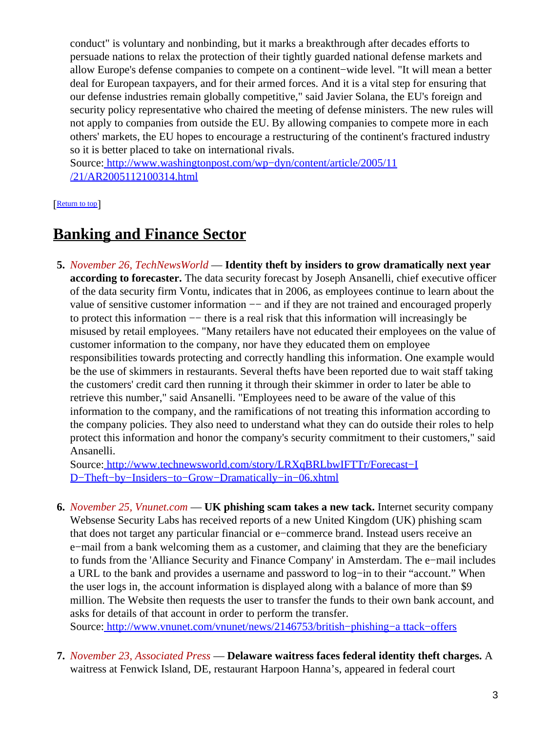conduct" is voluntary and nonbinding, but it marks a breakthrough after decades efforts to persuade nations to relax the protection of their tightly guarded national defense markets and allow Europe's defense companies to compete on a continent−wide level. "It will mean a better deal for European taxpayers, and for their armed forces. And it is a vital step for ensuring that our defense industries remain globally competitive," said Javier Solana, the EU's foreign and security policy representative who chaired the meeting of defense ministers. The new rules will not apply to companies from outside the EU. By allowing companies to compete more in each others' markets, the EU hopes to encourage a restructuring of the continent's fractured industry so it is better placed to take on international rivals.

Source[: http://www.washingtonpost.com/wp−dyn/content/article/2005/11](http://www.washingtonpost.com/wp-dyn/content/article/2005/11/21/AR2005112100314.html) [/21/AR2005112100314.html](http://www.washingtonpost.com/wp-dyn/content/article/2005/11/21/AR2005112100314.html)

#### [[Return to top](#page-0-1)]

## <span id="page-2-1"></span>**Banking and Finance Sector**

**5.** *November 26, TechNewsWorld* — **Identity theft by insiders to grow dramatically next year according to forecaster.** The data security forecast by Joseph Ansanelli, chief executive officer of the data security firm Vontu, indicates that in 2006, as employees continue to learn about the value of sensitive customer information −− and if they are not trained and encouraged properly to protect this information −− there is a real risk that this information will increasingly be misused by retail employees. "Many retailers have not educated their employees on the value of customer information to the company, nor have they educated them on employee responsibilities towards protecting and correctly handling this information. One example would be the use of skimmers in restaurants. Several thefts have been reported due to wait staff taking the customers' credit card then running it through their skimmer in order to later be able to retrieve this number," said Ansanelli. "Employees need to be aware of the value of this information to the company, and the ramifications of not treating this information according to the company policies. They also need to understand what they can do outside their roles to help protect this information and honor the company's security commitment to their customers," said Ansanelli.

Source[: http://www.technewsworld.com/story/LRXqBRLbwIFTTr/Forecast−I](http://www.technewsworld.com/story/LRXqBRLbwIFTTr/Forecast-ID-Theft-by-Insiders-to-Grow-Dramatically-in-06.xhtml) [D−Theft−by−Insiders−to−Grow−Dramatically−in−06.xhtml](http://www.technewsworld.com/story/LRXqBRLbwIFTTr/Forecast-ID-Theft-by-Insiders-to-Grow-Dramatically-in-06.xhtml)

**6.** *November 25, Vnunet.com* — **UK phishing scam takes a new tack.** Internet security company Websense Security Labs has received reports of a new United Kingdom (UK) phishing scam that does not target any particular financial or e−commerce brand. Instead users receive an e−mail from a bank welcoming them as a customer, and claiming that they are the beneficiary to funds from the 'Alliance Security and Finance Company' in Amsterdam. The e−mail includes a URL to the bank and provides a username and password to log−in to their "account." When the user logs in, the account information is displayed along with a balance of more than \$9 million. The Website then requests the user to transfer the funds to their own bank account, and asks for details of that account in order to perform the transfer.

Source[: http://www.vnunet.com/vnunet/news/2146753/british−phishing−a ttack−offers](http://www.vnunet.com/vnunet/news/2146753/british-phishing-attack-offers)

<span id="page-2-0"></span>**7.** *November 23, Associated Press* — **Delaware waitress faces federal identity theft charges.** A waitress at Fenwick Island, DE, restaurant Harpoon Hanna's, appeared in federal court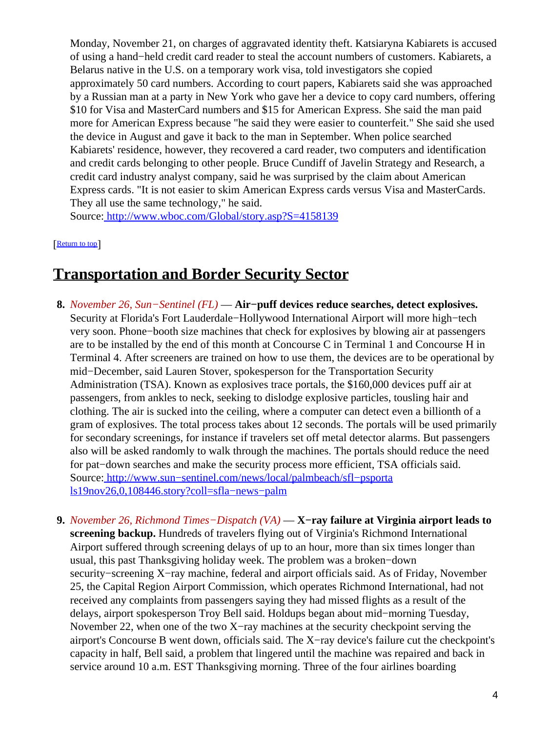Monday, November 21, on charges of aggravated identity theft. Katsiaryna Kabiarets is accused of using a hand−held credit card reader to steal the account numbers of customers. Kabiarets, a Belarus native in the U.S. on a temporary work visa, told investigators she copied approximately 50 card numbers. According to court papers, Kabiarets said she was approached by a Russian man at a party in New York who gave her a device to copy card numbers, offering \$10 for Visa and MasterCard numbers and \$15 for American Express. She said the man paid more for American Express because "he said they were easier to counterfeit." She said she used the device in August and gave it back to the man in September. When police searched Kabiarets' residence, however, they recovered a card reader, two computers and identification and credit cards belonging to other people. Bruce Cundiff of Javelin Strategy and Research, a credit card industry analyst company, said he was surprised by the claim about American Express cards. "It is not easier to skim American Express cards versus Visa and MasterCards. They all use the same technology," he said.

Source[: http://www.wboc.com/Global/story.asp?S=4158139](http://www.wboc.com/Global/story.asp?S=4158139)

[[Return to top](#page-0-1)]

## <span id="page-3-0"></span>**Transportation and Border Security Sector**

- **8.** *November 26, Sun−Sentinel (FL)* — **Air−puff devices reduce searches, detect explosives.** Security at Florida's Fort Lauderdale−Hollywood International Airport will more high−tech very soon. Phone−booth size machines that check for explosives by blowing air at passengers are to be installed by the end of this month at Concourse C in Terminal 1 and Concourse H in Terminal 4. After screeners are trained on how to use them, the devices are to be operational by mid−December, said Lauren Stover, spokesperson for the Transportation Security Administration (TSA). Known as explosives trace portals, the \$160,000 devices puff air at passengers, from ankles to neck, seeking to dislodge explosive particles, tousling hair and clothing. The air is sucked into the ceiling, where a computer can detect even a billionth of a gram of explosives. The total process takes about 12 seconds. The portals will be used primarily for secondary screenings, for instance if travelers set off metal detector alarms. But passengers also will be asked randomly to walk through the machines. The portals should reduce the need for pat−down searches and make the security process more efficient, TSA officials said. Source[: http://www.sun−sentinel.com/news/local/palmbeach/sfl−psporta](http://www.sun-sentinel.com/news/local/palmbeach/sfl-psportals19nov26,0,108446.story?coll=sfla-news-palm) [ls19nov26,0,108446.story?coll=sfla−news−palm](http://www.sun-sentinel.com/news/local/palmbeach/sfl-psportals19nov26,0,108446.story?coll=sfla-news-palm)
- **9.** *November 26, Richmond Times−Dispatch (VA)* — **X−ray failure at Virginia airport leads to screening backup.** Hundreds of travelers flying out of Virginia's Richmond International Airport suffered through screening delays of up to an hour, more than six times longer than usual, this past Thanksgiving holiday week. The problem was a broken−down security−screening X−ray machine, federal and airport officials said. As of Friday, November 25, the Capital Region Airport Commission, which operates Richmond International, had not received any complaints from passengers saying they had missed flights as a result of the delays, airport spokesperson Troy Bell said. Holdups began about mid−morning Tuesday, November 22, when one of the two X−ray machines at the security checkpoint serving the airport's Concourse B went down, officials said. The X−ray device's failure cut the checkpoint's capacity in half, Bell said, a problem that lingered until the machine was repaired and back in service around 10 a.m. EST Thanksgiving morning. Three of the four airlines boarding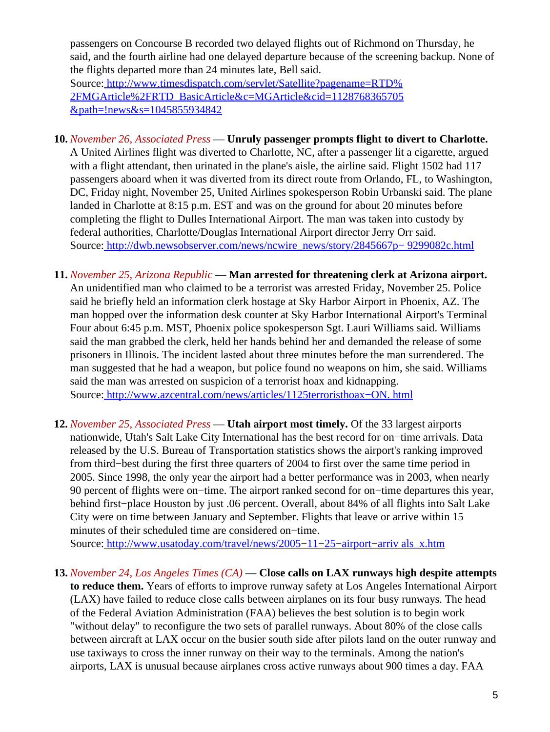passengers on Concourse B recorded two delayed flights out of Richmond on Thursday, he said, and the fourth airline had one delayed departure because of the screening backup. None of the flights departed more than 24 minutes late, Bell said. Source[: http://www.timesdispatch.com/servlet/Satellite?pagename=RTD%](http://www.timesdispatch.com/servlet/Satellite?pagename=RTD%2FMGArticle%2FRTD_BasicArticle&c=MGArticle&cid=1128768365705&path=!news&s=1045855934842) [2FMGArticle%2FRTD\\_BasicArticle&c=MGArticle&cid=1128768365705](http://www.timesdispatch.com/servlet/Satellite?pagename=RTD%2FMGArticle%2FRTD_BasicArticle&c=MGArticle&cid=1128768365705&path=!news&s=1045855934842) [&path=!news&s=1045855934842](http://www.timesdispatch.com/servlet/Satellite?pagename=RTD%2FMGArticle%2FRTD_BasicArticle&c=MGArticle&cid=1128768365705&path=!news&s=1045855934842)

- **10.** *November 26, Associated Press* — **Unruly passenger prompts flight to divert to Charlotte.** A United Airlines flight was diverted to Charlotte, NC, after a passenger lit a cigarette, argued with a flight attendant, then urinated in the plane's aisle, the airline said. Flight 1502 had 117 passengers aboard when it was diverted from its direct route from Orlando, FL, to Washington, DC, Friday night, November 25, United Airlines spokesperson Robin Urbanski said. The plane landed in Charlotte at 8:15 p.m. EST and was on the ground for about 20 minutes before completing the flight to Dulles International Airport. The man was taken into custody by federal authorities, Charlotte/Douglas International Airport director Jerry Orr said. Source[: http://dwb.newsobserver.com/news/ncwire\\_news/story/2845667p− 9299082c.html](http://dwb.newsobserver.com/news/ncwire_news/story/2845667p-9299082c.html)
- **11.** *November 25, Arizona Republic* — **Man arrested for threatening clerk at Arizona airport.** An unidentified man who claimed to be a terrorist was arrested Friday, November 25. Police said he briefly held an information clerk hostage at Sky Harbor Airport in Phoenix, AZ. The man hopped over the information desk counter at Sky Harbor International Airport's Terminal Four about 6:45 p.m. MST, Phoenix police spokesperson Sgt. Lauri Williams said. Williams said the man grabbed the clerk, held her hands behind her and demanded the release of some prisoners in Illinois. The incident lasted about three minutes before the man surrendered. The man suggested that he had a weapon, but police found no weapons on him, she said. Williams said the man was arrested on suspicion of a terrorist hoax and kidnapping. Source[: http://www.azcentral.com/news/articles/1125terroristhoax−ON. html](http://www.azcentral.com/news/articles/1125terroristhoax-ON.html)
- **12.** *November 25, Associated Press* — **Utah airport most timely.** Of the 33 largest airports nationwide, Utah's Salt Lake City International has the best record for on−time arrivals. Data released by the U.S. Bureau of Transportation statistics shows the airport's ranking improved from third−best during the first three quarters of 2004 to first over the same time period in 2005. Since 1998, the only year the airport had a better performance was in 2003, when nearly 90 percent of flights were on−time. The airport ranked second for on−time departures this year, behind first−place Houston by just .06 percent. Overall, about 84% of all flights into Salt Lake City were on time between January and September. Flights that leave or arrive within 15 minutes of their scheduled time are considered on−time.

Source[: http://www.usatoday.com/travel/news/2005−11−25−airport−arriv als\\_x.htm](http://www.usatoday.com/travel/news/2005-11-25-airport-arrivals_x.htm)

**13.** *November 24, Los Angeles Times (CA)* — **Close calls on LAX runways high despite attempts to reduce them.** Years of efforts to improve runway safety at Los Angeles International Airport (LAX) have failed to reduce close calls between airplanes on its four busy runways. The head of the Federal Aviation Administration (FAA) believes the best solution is to begin work "without delay" to reconfigure the two sets of parallel runways. About 80% of the close calls between aircraft at LAX occur on the busier south side after pilots land on the outer runway and use taxiways to cross the inner runway on their way to the terminals. Among the nation's airports, LAX is unusual because airplanes cross active runways about 900 times a day. FAA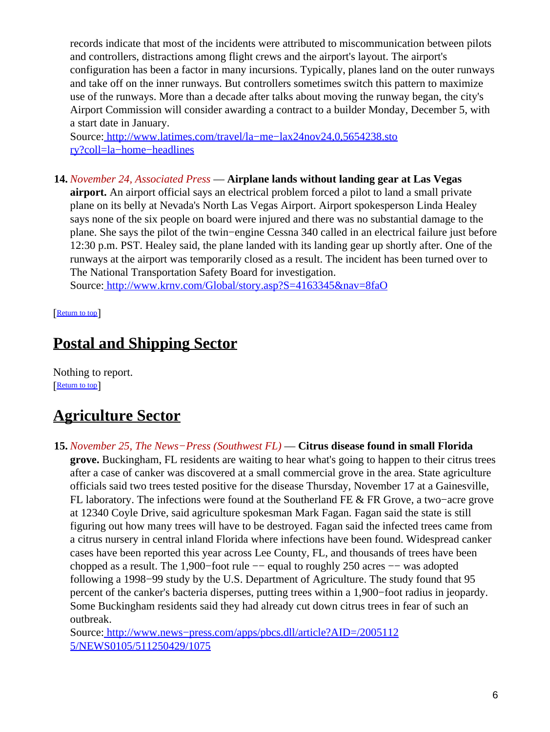records indicate that most of the incidents were attributed to miscommunication between pilots and controllers, distractions among flight crews and the airport's layout. The airport's configuration has been a factor in many incursions. Typically, planes land on the outer runways and take off on the inner runways. But controllers sometimes switch this pattern to maximize use of the runways. More than a decade after talks about moving the runway began, the city's Airport Commission will consider awarding a contract to a builder Monday, December 5, with a start date in January.

Source[: http://www.latimes.com/travel/la−me−lax24nov24,0,5654238.sto](http://www.latimes.com/travel/la-me-lax24nov24,0,5654238.story?coll=la-home-headlines) [ry?coll=la−home−headlines](http://www.latimes.com/travel/la-me-lax24nov24,0,5654238.story?coll=la-home-headlines)

**14.** *November 24, Associated Press* — **Airplane lands without landing gear at Las Vegas airport.** An airport official says an electrical problem forced a pilot to land a small private plane on its belly at Nevada's North Las Vegas Airport. Airport spokesperson Linda Healey says none of the six people on board were injured and there was no substantial damage to the plane. She says the pilot of the twin−engine Cessna 340 called in an electrical failure just before 12:30 p.m. PST. Healey said, the plane landed with its landing gear up shortly after. One of the runways at the airport was temporarily closed as a result. The incident has been turned over to The National Transportation Safety Board for investigation.

Source[: http://www.krnv.com/Global/story.asp?S=4163345&nav=8faO](http://www.krnv.com/Global/story.asp?S=4163345&nav=8faO)

[[Return to top](#page-0-1)]

# <span id="page-5-0"></span>**Postal and Shipping Sector**

Nothing to report. [[Return to top](#page-0-1)]

# <span id="page-5-1"></span>**Agriculture Sector**

**15.** *November 25, The News−Press (Southwest FL)* — **Citrus disease found in small Florida grove.** Buckingham, FL residents are waiting to hear what's going to happen to their citrus trees after a case of canker was discovered at a small commercial grove in the area. State agriculture officials said two trees tested positive for the disease Thursday, November 17 at a Gainesville, FL laboratory. The infections were found at the Southerland FE & FR Grove, a two−acre grove at 12340 Coyle Drive, said agriculture spokesman Mark Fagan. Fagan said the state is still figuring out how many trees will have to be destroyed. Fagan said the infected trees came from a citrus nursery in central inland Florida where infections have been found. Widespread canker cases have been reported this year across Lee County, FL, and thousands of trees have been chopped as a result. The 1,900−foot rule −− equal to roughly 250 acres −− was adopted following a 1998−99 study by the U.S. Department of Agriculture. The study found that 95 percent of the canker's bacteria disperses, putting trees within a 1,900−foot radius in jeopardy. Some Buckingham residents said they had already cut down citrus trees in fear of such an outbreak.

Source[: http://www.news−press.com/apps/pbcs.dll/article?AID=/2005112](http://www.news-press.com/apps/pbcs.dll/article?AID=/20051125/NEWS0105/511250429/1075) [5/NEWS0105/511250429/1075](http://www.news-press.com/apps/pbcs.dll/article?AID=/20051125/NEWS0105/511250429/1075)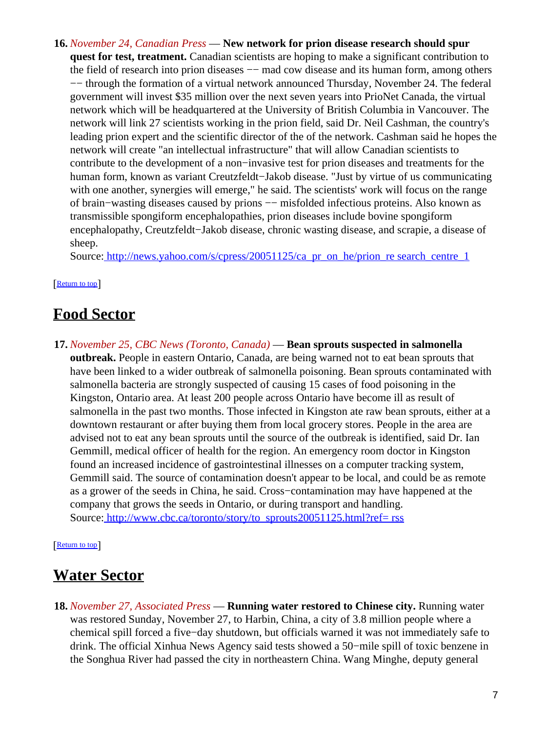**16.** *November 24, Canadian Press* — **New network for prion disease research should spur quest for test, treatment.** Canadian scientists are hoping to make a significant contribution to the field of research into prion diseases — mad cow disease and its human form, among others −− through the formation of a virtual network announced Thursday, November 24. The federal government will invest \$35 million over the next seven years into PrioNet Canada, the virtual network which will be headquartered at the University of British Columbia in Vancouver. The network will link 27 scientists working in the prion field, said Dr. Neil Cashman, the country's leading prion expert and the scientific director of the of the network. Cashman said he hopes the network will create "an intellectual infrastructure" that will allow Canadian scientists to contribute to the development of a non−invasive test for prion diseases and treatments for the human form, known as variant Creutzfeldt−Jakob disease. "Just by virtue of us communicating with one another, synergies will emerge," he said. The scientists' work will focus on the range of brain−wasting diseases caused by prions −− misfolded infectious proteins. Also known as transmissible spongiform encephalopathies, prion diseases include bovine spongiform encephalopathy, Creutzfeldt−Jakob disease, chronic wasting disease, and scrapie, a disease of sheep.

Source[: http://news.yahoo.com/s/cpress/20051125/ca\\_pr\\_on\\_he/prion\\_re search\\_centre\\_1](http://news.yahoo.com/s/cpress/20051125/ca_pr_on_he/prion_research_centre_1)

#### [[Return to top](#page-0-1)]

## <span id="page-6-0"></span>**Food Sector**

**17.** *November 25, CBC News (Toronto, Canada)* — **Bean sprouts suspected in salmonella outbreak.** People in eastern Ontario, Canada, are being warned not to eat bean sprouts that have been linked to a wider outbreak of salmonella poisoning. Bean sprouts contaminated with salmonella bacteria are strongly suspected of causing 15 cases of food poisoning in the Kingston, Ontario area. At least 200 people across Ontario have become ill as result of salmonella in the past two months. Those infected in Kingston ate raw bean sprouts, either at a downtown restaurant or after buying them from local grocery stores. People in the area are advised not to eat any bean sprouts until the source of the outbreak is identified, said Dr. Ian Gemmill, medical officer of health for the region. An emergency room doctor in Kingston found an increased incidence of gastrointestinal illnesses on a computer tracking system, Gemmill said. The source of contamination doesn't appear to be local, and could be as remote as a grower of the seeds in China, he said. Cross−contamination may have happened at the company that grows the seeds in Ontario, or during transport and handling. Source[: http://www.cbc.ca/toronto/story/to\\_sprouts20051125.html?ref= rss](http://www.cbc.ca/toronto/story/to_sprouts20051125.html?ref=rss)

#### [[Return to top](#page-0-1)]

## <span id="page-6-1"></span>**Water Sector**

**18.** *November 27, Associated Press* — **Running water restored to Chinese city.** Running water was restored Sunday, November 27, to Harbin, China, a city of 3.8 million people where a chemical spill forced a five−day shutdown, but officials warned it was not immediately safe to drink. The official Xinhua News Agency said tests showed a 50−mile spill of toxic benzene in the Songhua River had passed the city in northeastern China. Wang Minghe, deputy general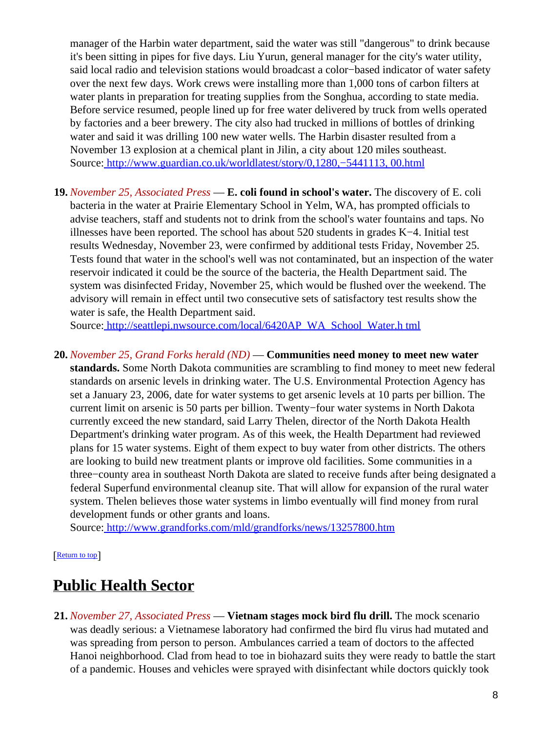manager of the Harbin water department, said the water was still "dangerous" to drink because it's been sitting in pipes for five days. Liu Yurun, general manager for the city's water utility, said local radio and television stations would broadcast a color−based indicator of water safety over the next few days. Work crews were installing more than 1,000 tons of carbon filters at water plants in preparation for treating supplies from the Songhua, according to state media. Before service resumed, people lined up for free water delivered by truck from wells operated by factories and a beer brewery. The city also had trucked in millions of bottles of drinking water and said it was drilling 100 new water wells. The Harbin disaster resulted from a November 13 explosion at a chemical plant in Jilin, a city about 120 miles southeast. Source[: http://www.guardian.co.uk/worldlatest/story/0,1280,−5441113, 00.html](http://www.guardian.co.uk/worldlatest/story/0,1280,-5441113,00.html)

**19.** *November 25, Associated Press* — **E. coli found in school's water.** The discovery of E. coli bacteria in the water at Prairie Elementary School in Yelm, WA, has prompted officials to advise teachers, staff and students not to drink from the school's water fountains and taps. No illnesses have been reported. The school has about 520 students in grades K−4. Initial test results Wednesday, November 23, were confirmed by additional tests Friday, November 25. Tests found that water in the school's well was not contaminated, but an inspection of the water reservoir indicated it could be the source of the bacteria, the Health Department said. The system was disinfected Friday, November 25, which would be flushed over the weekend. The advisory will remain in effect until two consecutive sets of satisfactory test results show the water is safe, the Health Department said.

Source[: http://seattlepi.nwsource.com/local/6420AP\\_WA\\_School\\_Water.h tml](http://seattlepi.nwsource.com/local/6420AP_WA_School_Water.html)

**20.** *November 25, Grand Forks herald (ND)* — **Communities need money to meet new water standards.** Some North Dakota communities are scrambling to find money to meet new federal standards on arsenic levels in drinking water. The U.S. Environmental Protection Agency has set a January 23, 2006, date for water systems to get arsenic levels at 10 parts per billion. The current limit on arsenic is 50 parts per billion. Twenty−four water systems in North Dakota currently exceed the new standard, said Larry Thelen, director of the North Dakota Health Department's drinking water program. As of this week, the Health Department had reviewed plans for 15 water systems. Eight of them expect to buy water from other districts. The others are looking to build new treatment plants or improve old facilities. Some communities in a three−county area in southeast North Dakota are slated to receive funds after being designated a federal Superfund environmental cleanup site. That will allow for expansion of the rural water system. Thelen believes those water systems in limbo eventually will find money from rural development funds or other grants and loans.

Source[: http://www.grandforks.com/mld/grandforks/news/13257800.htm](http://www.grandforks.com/mld/grandforks/news/13257800.htm)

[[Return to top](#page-0-1)]

# <span id="page-7-0"></span>**Public Health Sector**

**21.** *November 27, Associated Press* — **Vietnam stages mock bird flu drill.** The mock scenario was deadly serious: a Vietnamese laboratory had confirmed the bird flu virus had mutated and was spreading from person to person. Ambulances carried a team of doctors to the affected Hanoi neighborhood. Clad from head to toe in biohazard suits they were ready to battle the start of a pandemic. Houses and vehicles were sprayed with disinfectant while doctors quickly took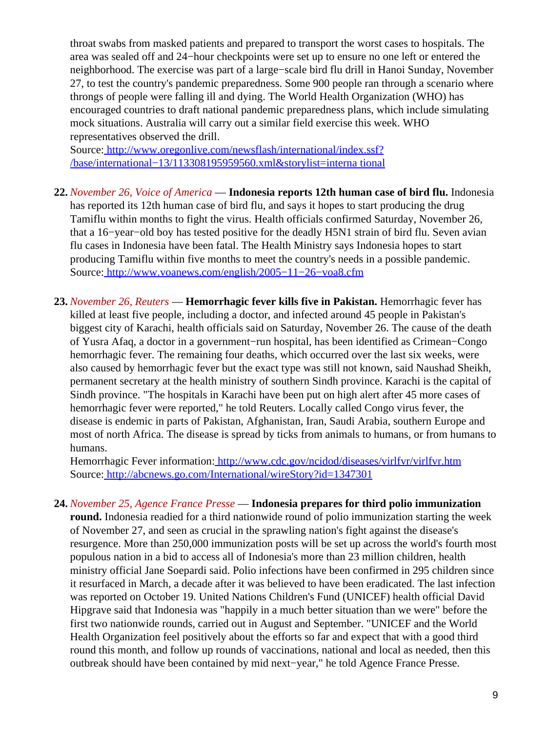throat swabs from masked patients and prepared to transport the worst cases to hospitals. The area was sealed off and 24−hour checkpoints were set up to ensure no one left or entered the neighborhood. The exercise was part of a large−scale bird flu drill in Hanoi Sunday, November 27, to test the country's pandemic preparedness. Some 900 people ran through a scenario where throngs of people were falling ill and dying. The World Health Organization (WHO) has encouraged countries to draft national pandemic preparedness plans, which include simulating mock situations. Australia will carry out a similar field exercise this week. WHO representatives observed the drill.

Source[: http://www.oregonlive.com/newsflash/international/index.ssf?](http://www.oregonlive.com/newsflash/international/index.ssf?/base/international-13/113308195959560.xml&storylist=international) [/base/international−13/113308195959560.xml&storylist=interna tional](http://www.oregonlive.com/newsflash/international/index.ssf?/base/international-13/113308195959560.xml&storylist=international)

- **22.** *November 26, Voice of America* — **Indonesia reports 12th human case of bird flu.** Indonesia has reported its 12th human case of bird flu, and says it hopes to start producing the drug Tamiflu within months to fight the virus. Health officials confirmed Saturday, November 26, that a 16−year−old boy has tested positive for the deadly H5N1 strain of bird flu. Seven avian flu cases in Indonesia have been fatal. The Health Ministry says Indonesia hopes to start producing Tamiflu within five months to meet the country's needs in a possible pandemic. Source[: http://www.voanews.com/english/2005−11−26−voa8.cfm](http://www.voanews.com/english/2005-11-26-voa8.cfm)
- **23.** *November 26, Reuters* — **Hemorrhagic fever kills five in Pakistan.** Hemorrhagic fever has killed at least five people, including a doctor, and infected around 45 people in Pakistan's biggest city of Karachi, health officials said on Saturday, November 26. The cause of the death of Yusra Afaq, a doctor in a government−run hospital, has been identified as Crimean−Congo hemorrhagic fever. The remaining four deaths, which occurred over the last six weeks, were also caused by hemorrhagic fever but the exact type was still not known, said Naushad Sheikh, permanent secretary at the health ministry of southern Sindh province. Karachi is the capital of Sindh province. "The hospitals in Karachi have been put on high alert after 45 more cases of hemorrhagic fever were reported," he told Reuters. Locally called Congo virus fever, the disease is endemic in parts of Pakistan, Afghanistan, Iran, Saudi Arabia, southern Europe and most of north Africa. The disease is spread by ticks from animals to humans, or from humans to humans.

Hemorrhagic Fever information[: http://www.cdc.gov/ncidod/diseases/virlfvr/virlfvr.htm](http://www.cdc.gov/ncidod/diseases/virlfvr/virlfvr.htm) Source[: http://abcnews.go.com/International/wireStory?id=1347301](http://abcnews.go.com/International/wireStory?id=1347301)

**24.** *November 25, Agence France Presse* — **Indonesia prepares for third polio immunization round.** Indonesia readied for a third nationwide round of polio immunization starting the week of November 27, and seen as crucial in the sprawling nation's fight against the disease's resurgence. More than 250,000 immunization posts will be set up across the world's fourth most populous nation in a bid to access all of Indonesia's more than 23 million children, health ministry official Jane Soepardi said. Polio infections have been confirmed in 295 children since it resurfaced in March, a decade after it was believed to have been eradicated. The last infection was reported on October 19. United Nations Children's Fund (UNICEF) health official David Hipgrave said that Indonesia was "happily in a much better situation than we were" before the first two nationwide rounds, carried out in August and September. "UNICEF and the World Health Organization feel positively about the efforts so far and expect that with a good third round this month, and follow up rounds of vaccinations, national and local as needed, then this outbreak should have been contained by mid next−year," he told Agence France Presse.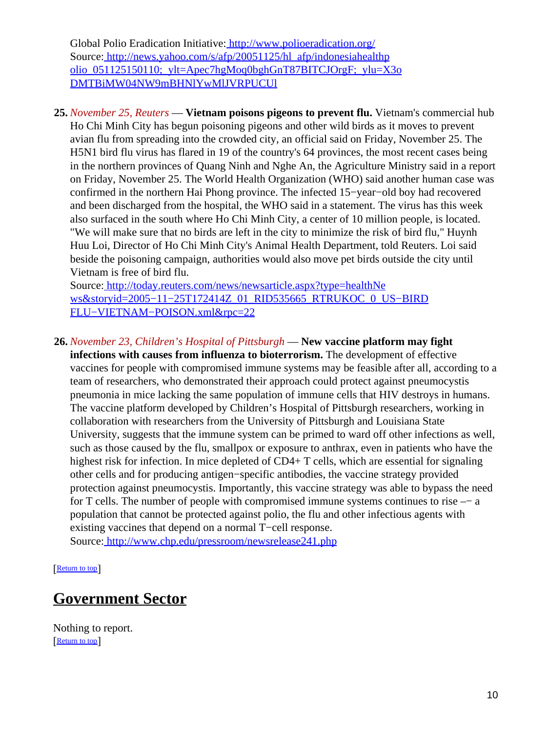Global Polio Eradication Initiative:<http://www.polioeradication.org/> Source[: http://news.yahoo.com/s/afp/20051125/hl\\_afp/indonesiahealthp](http://news.yahoo.com/s/afp/20051125/hl_afp/indonesiahealthpolio_051125150110;_ylt=Apec7hgMoq0bghGnT87BITCJOrgF;_ylu=X3oDMTBiMW04NW9mBHNlYwMlJVRPUCUl) [olio\\_051125150110;\\_ylt=Apec7hgMoq0bghGnT87BITCJOrgF;\\_ylu=X3o](http://news.yahoo.com/s/afp/20051125/hl_afp/indonesiahealthpolio_051125150110;_ylt=Apec7hgMoq0bghGnT87BITCJOrgF;_ylu=X3oDMTBiMW04NW9mBHNlYwMlJVRPUCUl) [DMTBiMW04NW9mBHNlYwMlJVRPUCUl](http://news.yahoo.com/s/afp/20051125/hl_afp/indonesiahealthpolio_051125150110;_ylt=Apec7hgMoq0bghGnT87BITCJOrgF;_ylu=X3oDMTBiMW04NW9mBHNlYwMlJVRPUCUl)

<span id="page-9-0"></span>**25.** *November 25, Reuters* — **Vietnam poisons pigeons to prevent flu.** Vietnam's commercial hub Ho Chi Minh City has begun poisoning pigeons and other wild birds as it moves to prevent avian flu from spreading into the crowded city, an official said on Friday, November 25. The H5N1 bird flu virus has flared in 19 of the country's 64 provinces, the most recent cases being in the northern provinces of Quang Ninh and Nghe An, the Agriculture Ministry said in a report on Friday, November 25. The World Health Organization (WHO) said another human case was confirmed in the northern Hai Phong province. The infected 15−year−old boy had recovered and been discharged from the hospital, the WHO said in a statement. The virus has this week also surfaced in the south where Ho Chi Minh City, a center of 10 million people, is located. "We will make sure that no birds are left in the city to minimize the risk of bird flu," Huynh Huu Loi, Director of Ho Chi Minh City's Animal Health Department, told Reuters. Loi said beside the poisoning campaign, authorities would also move pet birds outside the city until Vietnam is free of bird flu.

Source[: http://today.reuters.com/news/newsarticle.aspx?type=healthNe](http://today.reuters.com/news/newsarticle.aspx?type=healthNews&storyid=2005-11-25T172414Z_01_RID535665_RTRUKOC_0_US-BIRDFLU-VIETNAM-POISON.xml&rpc=22) [ws&storyid=2005−11−25T172414Z\\_01\\_RID535665\\_RTRUKOC\\_0\\_US−BIRD](http://today.reuters.com/news/newsarticle.aspx?type=healthNews&storyid=2005-11-25T172414Z_01_RID535665_RTRUKOC_0_US-BIRDFLU-VIETNAM-POISON.xml&rpc=22) [FLU−VIETNAM−POISON.xml&rpc=22](http://today.reuters.com/news/newsarticle.aspx?type=healthNews&storyid=2005-11-25T172414Z_01_RID535665_RTRUKOC_0_US-BIRDFLU-VIETNAM-POISON.xml&rpc=22)

**26.** *November 23, Children's Hospital of Pittsburgh* — **New vaccine platform may fight**

**infections with causes from influenza to bioterrorism.** The development of effective vaccines for people with compromised immune systems may be feasible after all, according to a team of researchers, who demonstrated their approach could protect against pneumocystis pneumonia in mice lacking the same population of immune cells that HIV destroys in humans. The vaccine platform developed by Children's Hospital of Pittsburgh researchers, working in collaboration with researchers from the University of Pittsburgh and Louisiana State University, suggests that the immune system can be primed to ward off other infections as well, such as those caused by the flu, smallpox or exposure to anthrax, even in patients who have the highest risk for infection. In mice depleted of CD4+ T cells, which are essential for signaling other cells and for producing antigen−specific antibodies, the vaccine strategy provided protection against pneumocystis. Importantly, this vaccine strategy was able to bypass the need for T cells. The number of people with compromised immune systems continues to rise –− a population that cannot be protected against polio, the flu and other infectious agents with existing vaccines that depend on a normal T−cell response. Source[: http://www.chp.edu/pressroom/newsrelease241.php](http://www.chp.edu/pressroom/newsrelease241.php)

[[Return to top](#page-0-1)]

## <span id="page-9-1"></span>**Government Sector**

Nothing to report. [[Return to top](#page-0-1)]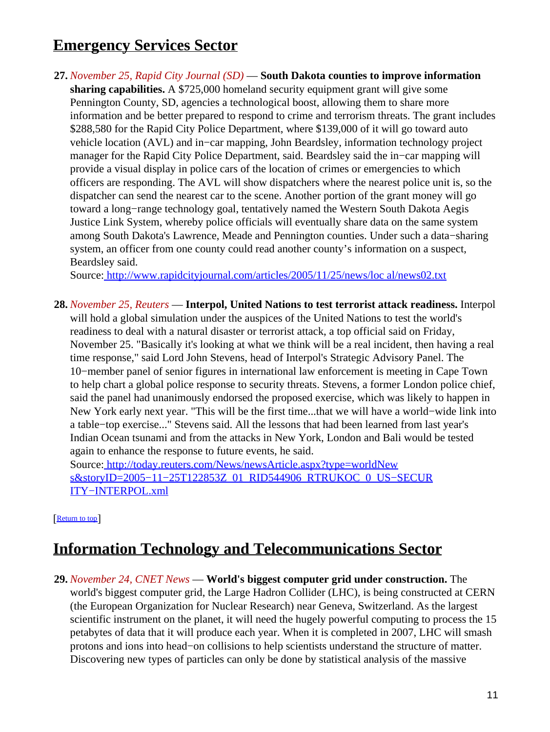# <span id="page-10-0"></span>**Emergency Services Sector**

**27.** *November 25, Rapid City Journal (SD)* — **South Dakota counties to improve information sharing capabilities.** A \$725,000 homeland security equipment grant will give some Pennington County, SD, agencies a technological boost, allowing them to share more information and be better prepared to respond to crime and terrorism threats. The grant includes \$288,580 for the Rapid City Police Department, where \$139,000 of it will go toward auto vehicle location (AVL) and in−car mapping, John Beardsley, information technology project manager for the Rapid City Police Department, said. Beardsley said the in−car mapping will provide a visual display in police cars of the location of crimes or emergencies to which officers are responding. The AVL will show dispatchers where the nearest police unit is, so the dispatcher can send the nearest car to the scene. Another portion of the grant money will go toward a long−range technology goal, tentatively named the Western South Dakota Aegis Justice Link System, whereby police officials will eventually share data on the same system among South Dakota's Lawrence, Meade and Pennington counties. Under such a data−sharing system, an officer from one county could read another county's information on a suspect, Beardsley said.

Source[: http://www.rapidcityjournal.com/articles/2005/11/25/news/loc al/news02.txt](http://www.rapidcityjournal.com/articles/2005/11/25/news/local/news02.txt)

**28.** *November 25, Reuters* — **Interpol, United Nations to test terrorist attack readiness.** Interpol will hold a global simulation under the auspices of the United Nations to test the world's readiness to deal with a natural disaster or terrorist attack, a top official said on Friday, November 25. "Basically it's looking at what we think will be a real incident, then having a real time response," said Lord John Stevens, head of Interpol's Strategic Advisory Panel. The 10−member panel of senior figures in international law enforcement is meeting in Cape Town to help chart a global police response to security threats. Stevens, a former London police chief, said the panel had unanimously endorsed the proposed exercise, which was likely to happen in New York early next year. "This will be the first time...that we will have a world−wide link into a table−top exercise..." Stevens said. All the lessons that had been learned from last year's Indian Ocean tsunami and from the attacks in New York, London and Bali would be tested again to enhance the response to future events, he said.

Source[: http://today.reuters.com/News/newsArticle.aspx?type=worldNew](http://today.reuters.com/News/newsArticle.aspx?type=worldNews&storyID=2005-11-25T122853Z_01_RID544906_RTRUKOC_0_US-SECURITY-INTERPOL.xml) s&storyID=2005−11−25T122853Z\_01\_RID544906\_RTRUKOC\_0\_US-SECUR [ITY−INTERPOL.xml](http://today.reuters.com/News/newsArticle.aspx?type=worldNews&storyID=2005-11-25T122853Z_01_RID544906_RTRUKOC_0_US-SECURITY-INTERPOL.xml)

[[Return to top](#page-0-1)]

## <span id="page-10-1"></span>**Information Technology and Telecommunications Sector**

**29.** *November 24, CNET News* — **World's biggest computer grid under construction.** The world's biggest computer grid, the Large Hadron Collider (LHC), is being constructed at CERN (the European Organization for Nuclear Research) near Geneva, Switzerland. As the largest scientific instrument on the planet, it will need the hugely powerful computing to process the 15 petabytes of data that it will produce each year. When it is completed in 2007, LHC will smash protons and ions into head−on collisions to help scientists understand the structure of matter. Discovering new types of particles can only be done by statistical analysis of the massive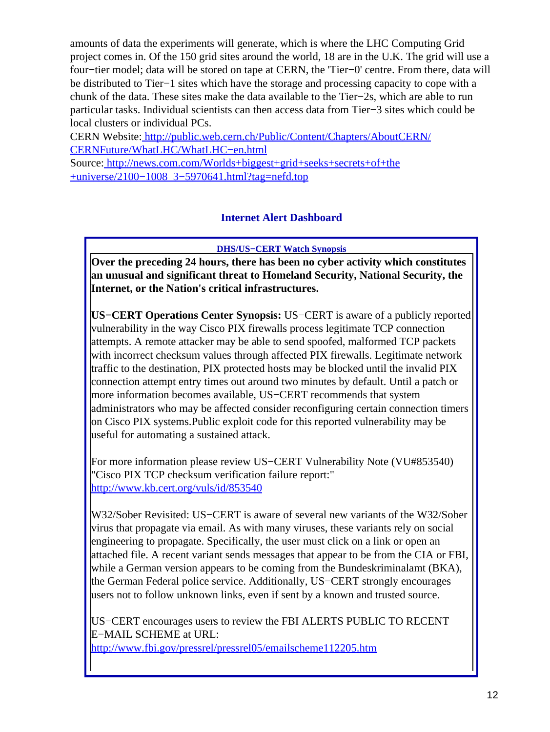amounts of data the experiments will generate, which is where the LHC Computing Grid project comes in. Of the 150 grid sites around the world, 18 are in the U.K. The grid will use a four−tier model; data will be stored on tape at CERN, the 'Tier−0' centre. From there, data will be distributed to Tier−1 sites which have the storage and processing capacity to cope with a chunk of the data. These sites make the data available to the Tier−2s, which are able to run particular tasks. Individual scientists can then access data from Tier−3 sites which could be local clusters or individual PCs.

CERN Website: [http://public.web.cern.ch/Public/Content/Chapters/AboutCERN/](http://public.web.cern.ch/Public/Content/Chapters/AboutCERN/CERNFuture/WhatLHC/WhatLHC-en.html) [CERNFuture/WhatLHC/WhatLHC−en.html](http://public.web.cern.ch/Public/Content/Chapters/AboutCERN/CERNFuture/WhatLHC/WhatLHC-en.html)

<span id="page-11-0"></span>Source[: http://news.com.com/Worlds+biggest+grid+seeks+secrets+of+the](http://news.com.com/Worlds+biggest+grid+seeks+secrets+of+the+universe/2100-1008_3-5970641.html?tag=nefd.top) [+universe/2100−1008\\_3−5970641.html?tag=nefd.top](http://news.com.com/Worlds+biggest+grid+seeks+secrets+of+the+universe/2100-1008_3-5970641.html?tag=nefd.top)

### **Internet Alert Dashboard**

**DHS/US−CERT Watch Synopsis**

**Over the preceding 24 hours, there has been no cyber activity which constitutes an unusual and significant threat to Homeland Security, National Security, the Internet, or the Nation's critical infrastructures.**

**US−CERT Operations Center Synopsis:** US−CERT is aware of a publicly reported vulnerability in the way Cisco PIX firewalls process legitimate TCP connection attempts. A remote attacker may be able to send spoofed, malformed TCP packets with incorrect checksum values through affected PIX firewalls. Legitimate network traffic to the destination, PIX protected hosts may be blocked until the invalid PIX connection attempt entry times out around two minutes by default. Until a patch or more information becomes available, US−CERT recommends that system administrators who may be affected consider reconfiguring certain connection timers on Cisco PIX systems.Public exploit code for this reported vulnerability may be useful for automating a sustained attack.

For more information please review US−CERT Vulnerability Note (VU#853540) "Cisco PIX TCP checksum verification failure report:" <http://www.kb.cert.org/vuls/id/853540>

W32/Sober Revisited: US−CERT is aware of several new variants of the W32/Sober virus that propagate via email. As with many viruses, these variants rely on social engineering to propagate. Specifically, the user must click on a link or open an attached file. A recent variant sends messages that appear to be from the CIA or FBI, while a German version appears to be coming from the Bundeskriminalamt (BKA), the German Federal police service. Additionally, US−CERT strongly encourages users not to follow unknown links, even if sent by a known and trusted source.

US−CERT encourages users to review the FBI ALERTS PUBLIC TO RECENT E−MAIL SCHEME at URL: <http://www.fbi.gov/pressrel/pressrel05/emailscheme112205.htm>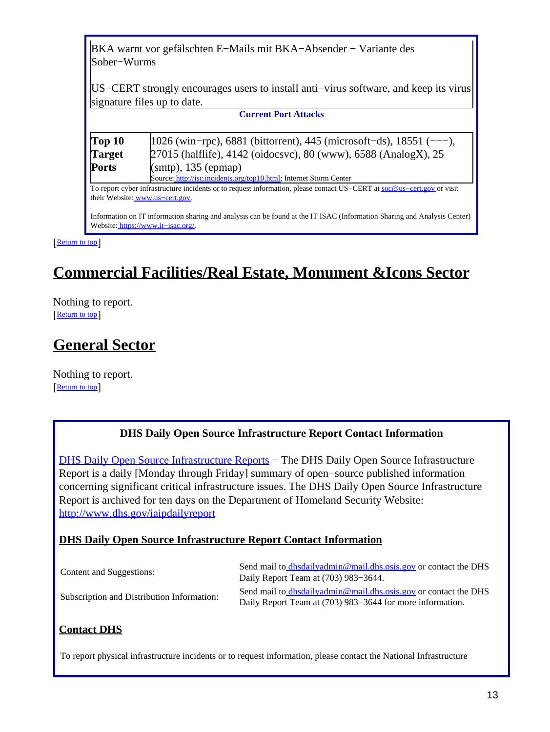BKA warnt vor gefälschten E−Mails mit BKA−Absender − Variante des Sober−Wurms

US−CERT strongly encourages users to install anti−virus software, and keep its virus signature files up to date.

**Current Port Attacks**

| Top <sub>10</sub> | $ 1026 \text{ (win-pro)}$ , 6881 (bittorrent), 445 (microsoft-ds), 18551 (---),                                          |  |
|-------------------|--------------------------------------------------------------------------------------------------------------------------|--|
| <b>Target</b>     | 27015 (halflife), 4142 (oidocsvc), 80 (www), 6588 (AnalogX), 25                                                          |  |
| <b>Ports</b>      | (smtp), 135 (epmap)                                                                                                      |  |
|                   | Source: http://isc.incidents.org/top10.html; Internet Storm Center                                                       |  |
|                   | To report cyber infrastructure incidents or to request information, please contact US-CERT at soc@us-cert.gov or visit   |  |
|                   | their Website: www.us-cert.gov.                                                                                          |  |
|                   |                                                                                                                          |  |
|                   | Information on IT information sharing and analysis can be found at the IT ISAC (Information Sharing and Analysis Center) |  |

Website: [https://www.it−isac.org/.](https://www.it-isac.org/)

**[Return to top](#page-0-1)** 

# <span id="page-12-0"></span>**Commercial Facilities/Real Estate, Monument &Icons Sector**

Nothing to report. [[Return to top](#page-0-1)]

# <span id="page-12-1"></span>**General Sector**

Nothing to report. [[Return to top](#page-0-1)]

### **DHS Daily Open Source Infrastructure Report Contact Information**

<span id="page-12-2"></span>[DHS Daily Open Source Infrastructure Reports](http://www.dhs.gov/iaipdailyreport) – The DHS Daily Open Source Infrastructure Report is a daily [Monday through Friday] summary of open−source published information concerning significant critical infrastructure issues. The DHS Daily Open Source Infrastructure Report is archived for ten days on the Department of Homeland Security Website: <http://www.dhs.gov/iaipdailyreport>

#### **DHS Daily Open Source Infrastructure Report Contact Information**

| Content and Suggestions:                   | Send mail to dhsdailyadmin@mail.dhs.osis.gov or contact the DHS<br>Daily Report Team at (703) 983–3644.                      |
|--------------------------------------------|------------------------------------------------------------------------------------------------------------------------------|
| Subscription and Distribution Information: | Send mail to dhsdailyadmin@mail.dhs.osis.gov or contact the DHS<br>Daily Report Team at (703) 983–3644 for more information. |

### **Contact DHS**

To report physical infrastructure incidents or to request information, please contact the National Infrastructure